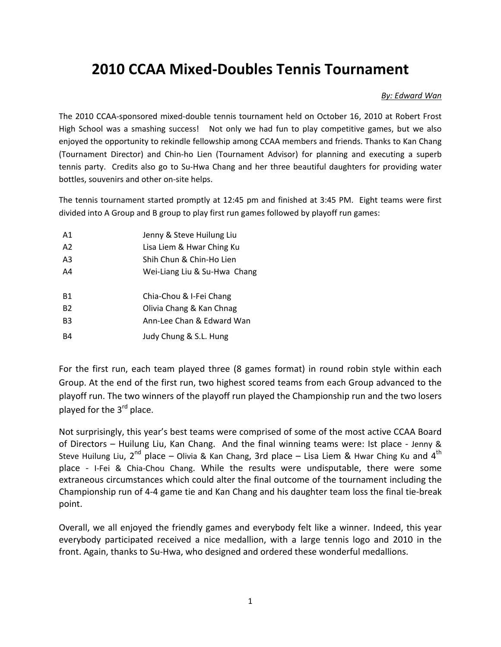## **2010 CCAA Mixed-Doubles Tennis Tournament**

## *By: Edward Wan*

The 2010 CCAA-sponsored mixed-double tennis tournament held on October 16, 2010 at Robert Frost High School was a smashing success! Not only we had fun to play competitive games, but we also enjoyed the opportunity to rekindle fellowship among CCAA members and friends. Thanks to Kan Chang (Tournament Director) and Chin-ho Lien (Tournament Advisor) for planning and executing a superb tennis party. Credits also go to Su-Hwa Chang and her three beautiful daughters for providing water bottles, souvenirs and other on-site helps.

The tennis tournament started promptly at 12:45 pm and finished at 3:45 PM. Eight teams were first divided into A Group and B group to play first run games followed by playoff run games:

| A <sub>1</sub> | Jenny & Steve Huilung Liu    |
|----------------|------------------------------|
| A2             | Lisa Liem & Hwar Ching Ku    |
| A3             | Shih Chun & Chin-Ho Lien     |
| A4             | Wei-Liang Liu & Su-Hwa Chang |
|                |                              |
| B1             | Chia-Chou & I-Fei Chang      |
| <b>B2</b>      | Olivia Chang & Kan Chnag     |
| B <sub>3</sub> | Ann-Lee Chan & Edward Wan    |
| B4             | Judy Chung & S.L. Hung       |

For the first run, each team played three (8 games format) in round robin style within each Group. At the end of the first run, two highest scored teams from each Group advanced to the playoff run. The two winners of the playoff run played the Championship run and the two losers played for the  $3<sup>rd</sup>$  place.

Not surprisingly, this year's best teams were comprised of some of the most active CCAA Board of Directors – Huilung Liu, Kan Chang. And the final winning teams were: Ist place - Jenny & Steve Huilung Liu,  $2^{nd}$  place – Olivia & Kan Chang, 3rd place – Lisa Liem & Hwar Ching Ku and  $4^{th}$ place - I-Fei & Chia-Chou Chang. While the results were undisputable, there were some extraneous circumstances which could alter the final outcome of the tournament including the Championship run of 4-4 game tie and Kan Chang and his daughter team loss the final tie-break point.

Overall, we all enjoyed the friendly games and everybody felt like a winner. Indeed, this year everybody participated received a nice medallion, with a large tennis logo and 2010 in the front. Again, thanks to Su-Hwa, who designed and ordered these wonderful medallions.